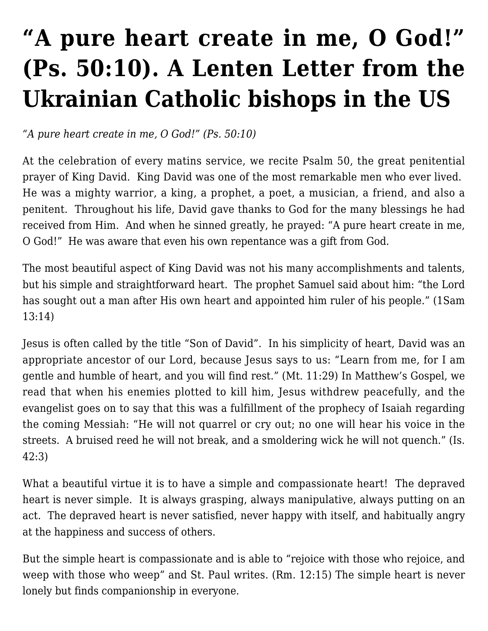# **["A pure heart create in me, O God!"](https://ukrarcheparchy.us/church-news/a-pure-heart-create-in-me-o-god-ps-50-10-a-lenten-letter-from-the-ukrainian-catholic-bishops-in-the-us) [\(Ps. 50:10\). A Lenten Letter from the](https://ukrarcheparchy.us/church-news/a-pure-heart-create-in-me-o-god-ps-50-10-a-lenten-letter-from-the-ukrainian-catholic-bishops-in-the-us) [Ukrainian Catholic bishops in the US](https://ukrarcheparchy.us/church-news/a-pure-heart-create-in-me-o-god-ps-50-10-a-lenten-letter-from-the-ukrainian-catholic-bishops-in-the-us)**

*"A pure heart create in me, O God!" (Ps. 50:10)*

At the celebration of every matins service, we recite Psalm 50, the great penitential prayer of King David. King David was one of the most remarkable men who ever lived. He was a mighty warrior, a king, a prophet, a poet, a musician, a friend, and also a penitent. Throughout his life, David gave thanks to God for the many blessings he had received from Him. And when he sinned greatly, he prayed: "A pure heart create in me, O God!" He was aware that even his own repentance was a gift from God.

The most beautiful aspect of King David was not his many accomplishments and talents, but his simple and straightforward heart. The prophet Samuel said about him: "the Lord has sought out a man after His own heart and appointed him ruler of his people." (1Sam 13:14)

Jesus is often called by the title "Son of David". In his simplicity of heart, David was an appropriate ancestor of our Lord, because Jesus says to us: "Learn from me, for I am gentle and humble of heart, and you will find rest." (Mt. 11:29) In Matthew's Gospel, we read that when his enemies plotted to kill him, Jesus withdrew peacefully, and the evangelist goes on to say that this was a fulfillment of the prophecy of Isaiah regarding the coming Messiah: "He will not quarrel or cry out; no one will hear his voice in the streets. A bruised reed he will not break, and a smoldering wick he will not quench." (Is. 42:3)

What a beautiful virtue it is to have a simple and compassionate heart! The depraved heart is never simple. It is always grasping, always manipulative, always putting on an act. The depraved heart is never satisfied, never happy with itself, and habitually angry at the happiness and success of others.

But the simple heart is compassionate and is able to "rejoice with those who rejoice, and weep with those who weep" and St. Paul writes. (Rm. 12:15) The simple heart is never lonely but finds companionship in everyone.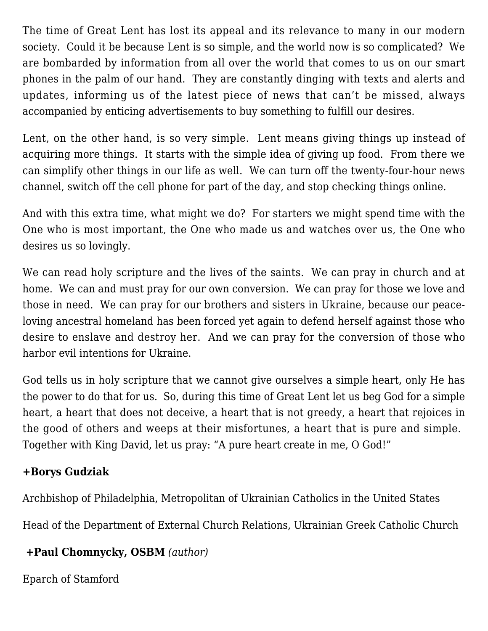The time of Great Lent has lost its appeal and its relevance to many in our modern society. Could it be because Lent is so simple, and the world now is so complicated? We are bombarded by information from all over the world that comes to us on our smart phones in the palm of our hand. They are constantly dinging with texts and alerts and updates, informing us of the latest piece of news that can't be missed, always accompanied by enticing advertisements to buy something to fulfill our desires.

Lent, on the other hand, is so very simple. Lent means giving things up instead of acquiring more things. It starts with the simple idea of giving up food. From there we can simplify other things in our life as well. We can turn off the twenty-four-hour news channel, switch off the cell phone for part of the day, and stop checking things online.

And with this extra time, what might we do? For starters we might spend time with the One who is most important, the One who made us and watches over us, the One who desires us so lovingly.

We can read holy scripture and the lives of the saints. We can pray in church and at home. We can and must pray for our own conversion. We can pray for those we love and those in need. We can pray for our brothers and sisters in Ukraine, because our peaceloving ancestral homeland has been forced yet again to defend herself against those who desire to enslave and destroy her. And we can pray for the conversion of those who harbor evil intentions for Ukraine.

God tells us in holy scripture that we cannot give ourselves a simple heart, only He has the power to do that for us. So, during this time of Great Lent let us beg God for a simple heart, a heart that does not deceive, a heart that is not greedy, a heart that rejoices in the good of others and weeps at their misfortunes, a heart that is pure and simple. Together with King David, let us pray: "A pure heart create in me, O God!"

#### **+Borys Gudziak**

Archbishop of Philadelphia, Metropolitan of Ukrainian Catholics in the United States

Head of the Department of External Church Relations, Ukrainian Greek Catholic Church

#### **+Paul Chomnycky, OSBM** *(author)*

Eparch of Stamford